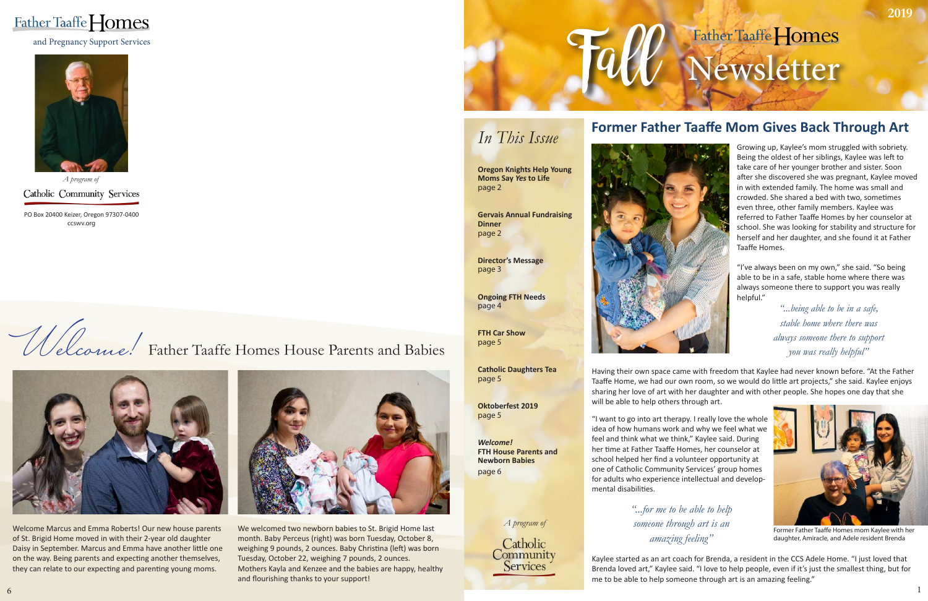# Father Taaffe Homes Newsletter

### *In This Issue*

**Oregon Knights Help Young Moms Say** *Yes* **to Life** page 2

**Gervais Annual Fundraising Dinner** page 2

**Director's Message** page 3





**Ongoing FTH Needs** page 4

*A program of* Catholic Community Services

> **FTH Car Show** page 5

**Catholic Daughters Tea** page 5



Former Father Taaffe Homes mom Kaylee with her daughter, Amiracle, and Adele resident Brenda

Growing up, Kaylee's mom struggled with sobriety. Being the oldest of her siblings, Kaylee was left to take care of her younger brother and sister. Soon after she discovered she was pregnant, Kaylee moved in with extended family. The home was small and crowded. She shared a bed with two, sometimes even three, other family members. Kaylee was referred to Father Taafe Homes by her counselor at school. She was looking for stability and structure for herself and her daughter, and she found it at Father Taaffe Homes.

**Oktoberfest 2019** page 5

*Welcome!*  **FTH House Parents and Newborn Babies** page 6

PO Box 20400 Keizer, Oregon 97307-0400 ccswv.org

### **Former Father Taafe Mom Gives Back Through Art**

Welcome Marcus and Emma Roberts! Our new house parents of St. Brigid Home moved in with their 2-year old daughter Daisy in September. Marcus and Emma have another litle one on the way. Being parents and expecting another themselves, they can relate to our expecting and parenting young moms.



We welcomed two newborn babies to St. Brigid Home last month. Baby Perceus (right) was born Tuesday, October 8, weighing 9 pounds, 2 ounces. Baby Christina (left) was born Tuesday, October 22, weighing 7 pounds, 2 ounces. Mothers Kayla and Kenzee and the babies are happy, healthy and flourishing thanks to your support!

and Pregnancy Support Services (Support Services (Support Services )

"I've always been on my own," she said. "So being able to be in a safe, stable home where there was always someone there to support you was really helpful."

Having their own space came with freedom that Kaylee had never known before. "At the Father Taafe Home, we had our own room, so we would do litle art projects," she said. Kaylee enjoys sharing her love of art with her daughter and with other people. She hopes one day that she will be able to help others through art.

# Welcome! Father Taaffe Homes House Parents and Babies



### *A program of*

Catholic Community Services



"I want to go into art therapy. I really love the whole idea of how humans work and why we feel what we feel and think what we think," Kaylee said. During her time at Father Taaffe Homes, her counselor at school helped her fnd a volunteer opportunity at one of Catholic Community Services' group homes for adults who experience intellectual and developmental disabilites.

Kaylee started as an art coach for Brenda, a resident in the CCS Adele Home. "I just loved that Brenda loved art," Kaylee said. "I love to help people, even if it's just the smallest thing, but for me to be able to help someone through art is an amazing feeling."

*"...being able to be in a safe, stable home where there was always someone there to support you was really helpful"*

*"...for me to be able to help someone through art is an amazing feeling"*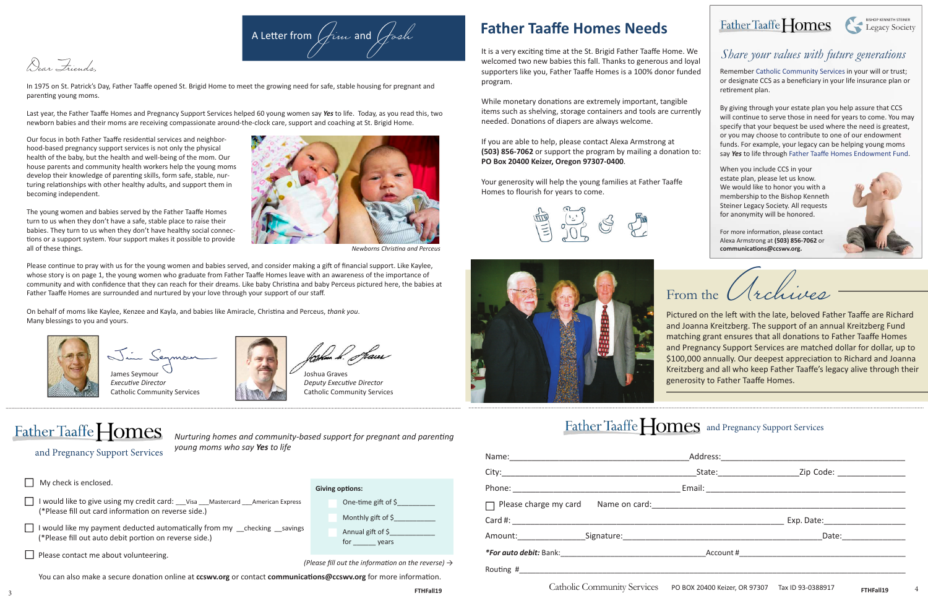In 1975 on St. Patrick's Day, Father Taafe opened St. Brigid Home to meet the growing need for safe, stable housing for pregnant and parenting young moms.

and Pregnancy Support Services

Dear Friends,

Our focus in both Father Taaffe residential services and neighborhood-based pregnancy support services is not only the physical health of the baby, but the health and well-being of the mom. Our house parents and community health workers help the young moms develop their knowledge of parentng skills, form safe, stable, nurturing relatonships with other healthy adults, and support them in becoming independent.



Last year, the Father Taafe Homes and Pregnancy Support Services helped 60 young women say *Yes* to life. Today, as you read this, two newborn babies and their moms are receiving compassionate around-the-clock care, support and coaching at St. Brigid Home.

The young women and babies served by the Father Taaffe Homes turn to us when they don't have a safe, stable place to raise their babies. They turn to us when they don't have healthy social connections or a support system. Your support makes it possible to provide all of these things.

James Seymour *Executve Director* Catholic Community Services

rhun *k. Sta*ves

*Nurturing homes and community-based support for pregnant and parentng young moms who say Yes to life*

| My check is enclosed.                                                                                                                       | <b>Giving options:</b>                                                     |
|---------------------------------------------------------------------------------------------------------------------------------------------|----------------------------------------------------------------------------|
| ] I would like to give using my credit card: __Visa __Mastercard __American Express<br>(*Please fill out card information on reverse side.) | One-time gift of $\zeta$                                                   |
| I I would like my payment deducted automatically from my schecking savings<br>(*Please fill out auto debit portion on reverse side.)        | Monthly gift of $\frac{1}{2}$<br>Annual gift of $\frac{1}{2}$<br>for years |
| Please contact me about volunteering.                                                                                                       | (Please fill out the information on the reverse) $\rightarrow$             |

You can also make a secure donation online at ccswv.org or contact communications@ccswv.org for more information.

Please continue to pray with us for the young women and babies served, and consider making a gift of financial support. Like Kaylee, whose story is on page 1, the young women who graduate from Father Taafe Homes leave with an awareness of the importance of community and with confdence that they can reach for their dreams. Like baby Christna and baby Perceus pictured here, the babies at Father Taafe Homes are surrounded and nurtured by your love through your support of our staf.

It is a very exciting time at the St. Brigid Father Taaffe Home. We welcomed two new babies this fall. Thanks to generous and loyal supporters like you, Father Taaffe Homes is a 100% donor funded program.

While monetary donations are extremely important, tangible items such as shelving, storage containers and tools are currently needed. Donations of diapers are always welcome.

Joshua Graves *Deputy Executve Director* Catholic Community Services

From the *Archives* Theory of the late, beloved Father Taaffe are Richard and Joanna Kreitzberg. The support of an annual Kreitzberg Fund matching grant ensures that all donations to Father Taaffe Homes and Pregnancy Support Services are matched dollar for dollar, up to \$100,000 annually. Our deepest appreciation to Richard and Joanna Kreitzberg and all who keep Father Taafe's legacy alive through their generosity to Father Taafe Homes.

### Father Taaffe **Fomes** and Pregnancy Support Services

### Father Taaffe Homes BISHOP KENNETH STEINER Legacy Society

On behalf of moms like Kaylee, Kenzee and Kayla, and babies like Amiracle, Christna and Perceus, *thank you*. Many blessings to you and yours.





*Newborns Christna and Perceus*

### **Father Taafe Homes Needs**

If you are able to help, please contact Alexa Armstrong at **(503) 856-7062** or support the program by mailing a donation to: **PO Box 20400 Keizer, Oregon 97307-0400**.

Your generosity will help the young families at Father Taaffe Homes to flourish for years to come.





|                                    | State: ______________________ | Zip Code: ________________                                                |  |
|------------------------------------|-------------------------------|---------------------------------------------------------------------------|--|
|                                    | Email: ______________         |                                                                           |  |
|                                    |                               |                                                                           |  |
|                                    |                               |                                                                           |  |
|                                    |                               | Date: $\frac{1}{\sqrt{1-\frac{1}{2}}\cdot\frac{1}{\sqrt{1-\frac{1}{2}}}}$ |  |
|                                    |                               |                                                                           |  |
|                                    |                               |                                                                           |  |
| $\alpha$ i i $\alpha$ i $\alpha$ i |                               |                                                                           |  |

### Father Taaffe Homes

### *Share your values with future generations*

Remember Catholic Community Services in your will or trust; or designate CCS as a beneficiary in your life insurance plan or retrement plan.

By giving through your estate plan you help assure that CCS will continue to serve those in need for years to come. You may specify that your bequest be used where the need is greatest, or you may choose to contribute to one of our endowment funds. For example, your legacy can be helping young moms say *Yes* to life through Father Taafe Homes Endowment Fund.

When you include CCS in your estate plan, please let us know. We would like to honor you with a membership to the Bishop Kenneth Steiner Legacy Society. All requests for anonymity will be honored.

For more information, please contact Alexa Armstrong at **(503) 856-7062** or communications@ccswv.org.